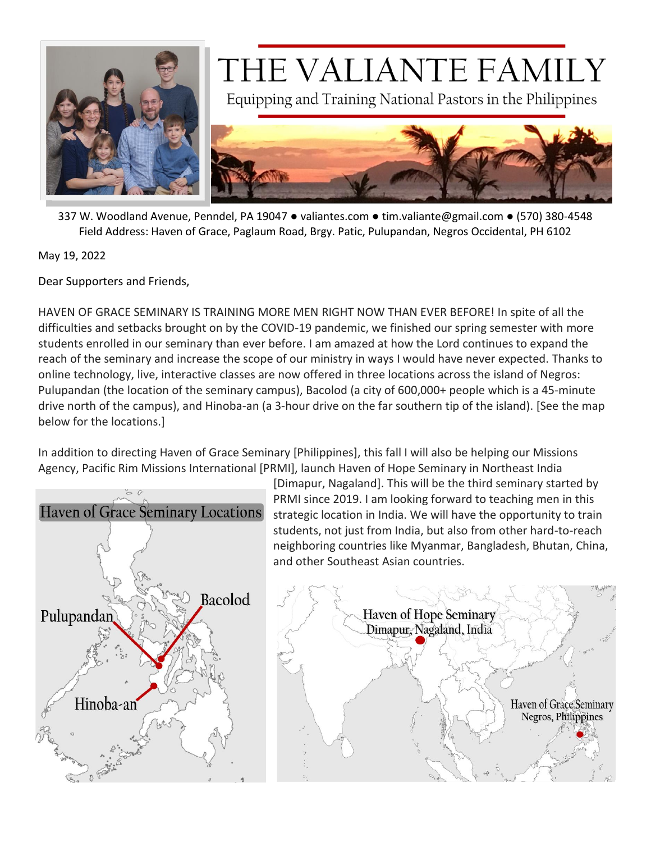

## THE VALIANTE FAMILY

Equipping and Training National Pastors in the Philippines



337 W. Woodland Avenue, Penndel, PA 19047 ● valiantes.com ● tim.valiante@gmail.com ● (570) 380-4548 Field Address: Haven of Grace, Paglaum Road, Brgy. Patic, Pulupandan, Negros Occidental, PH 6102

May 19, 2022

Dear Supporters and Friends,

HAVEN OF GRACE SEMINARY IS TRAINING MORE MEN RIGHT NOW THAN EVER BEFORE! In spite of all the difficulties and setbacks brought on by the COVID-19 pandemic, we finished our spring semester with more students enrolled in our seminary than ever before. I am amazed at how the Lord continues to expand the reach of the seminary and increase the scope of our ministry in ways I would have never expected. Thanks to online technology, live, interactive classes are now offered in three locations across the island of Negros: Pulupandan (the location of the seminary campus), Bacolod (a city of 600,000+ people which is a 45-minute drive north of the campus), and Hinoba-an (a 3-hour drive on the far southern tip of the island). [See the map below for the locations.]

In addition to directing Haven of Grace Seminary [Philippines], this fall I will also be helping our Missions Agency, Pacific Rim Missions International [PRMI], launch Haven of Hope Seminary in Northeast India



[Dimapur, Nagaland]. This will be the third seminary started by PRMI since 2019. I am looking forward to teaching men in this strategic location in India. We will have the opportunity to train students, not just from India, but also from other hard-to-reach neighboring countries like Myanmar, Bangladesh, Bhutan, China, and other Southeast Asian countries.

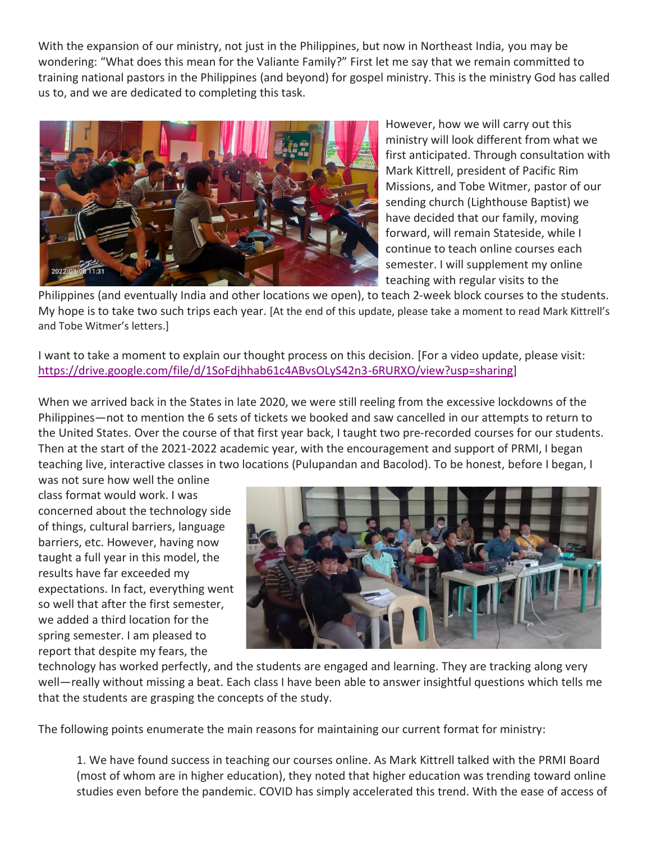With the expansion of our ministry, not just in the Philippines, but now in Northeast India, you may be wondering: "What does this mean for the Valiante Family?" First let me say that we remain committed to training national pastors in the Philippines (and beyond) for gospel ministry. This is the ministry God has called us to, and we are dedicated to completing this task.



However, how we will carry out this ministry will look different from what we first anticipated. Through consultation with Mark Kittrell, president of Pacific Rim Missions, and Tobe Witmer, pastor of our sending church (Lighthouse Baptist) we have decided that our family, moving forward, will remain Stateside, while I continue to teach online courses each semester. I will supplement my online teaching with regular visits to the

Philippines (and eventually India and other locations we open), to teach 2-week block courses to the students. My hope is to take two such trips each year. [At the end of this update, please take a moment to read Mark Kittrell's and Tobe Witmer's letters.]

I want to take a moment to explain our thought process on this decision. [For a video update, please visit: [https://drive.google.com/file/d/1SoFdjhhab61c4ABvsOLyS42n3-6RURXO/view?usp=sharing\]](https://drive.google.com/file/d/1SoFdjhhab61c4ABvsOLyS42n3-6RURXO/view?usp=sharing)

When we arrived back in the States in late 2020, we were still reeling from the excessive lockdowns of the Philippines—not to mention the 6 sets of tickets we booked and saw cancelled in our attempts to return to the United States. Over the course of that first year back, I taught two pre-recorded courses for our students. Then at the start of the 2021-2022 academic year, with the encouragement and support of PRMI, I began teaching live, interactive classes in two locations (Pulupandan and Bacolod). To be honest, before I began, I

was not sure how well the online class format would work. I was concerned about the technology side of things, cultural barriers, language barriers, etc. However, having now taught a full year in this model, the results have far exceeded my expectations. In fact, everything went so well that after the first semester, we added a third location for the spring semester. I am pleased to report that despite my fears, the



technology has worked perfectly, and the students are engaged and learning. They are tracking along very well—really without missing a beat. Each class I have been able to answer insightful questions which tells me that the students are grasping the concepts of the study.

The following points enumerate the main reasons for maintaining our current format for ministry:

1. We have found success in teaching our courses online. As Mark Kittrell talked with the PRMI Board (most of whom are in higher education), they noted that higher education was trending toward online studies even before the pandemic. COVID has simply accelerated this trend. With the ease of access of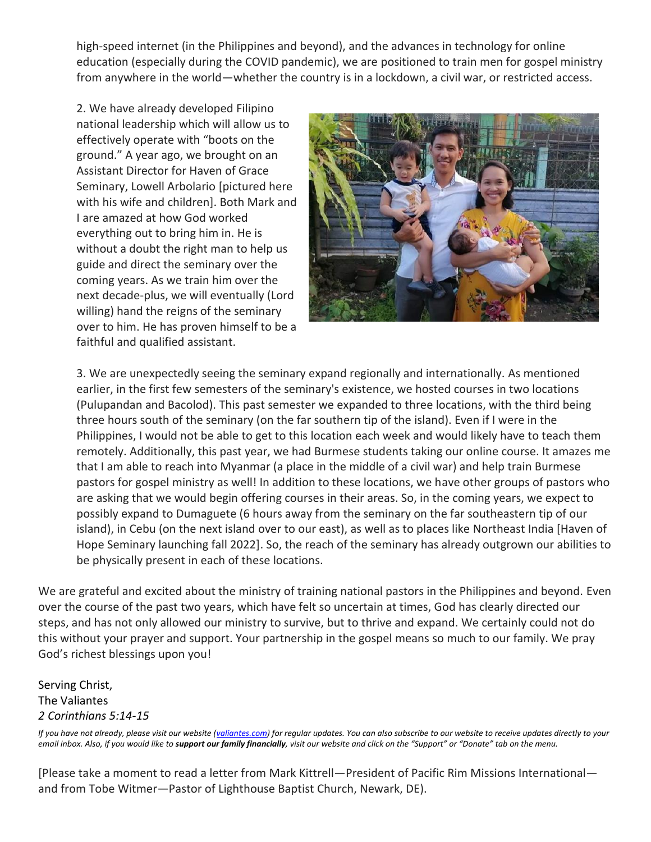high-speed internet (in the Philippines and beyond), and the advances in technology for online education (especially during the COVID pandemic), we are positioned to train men for gospel ministry from anywhere in the world—whether the country is in a lockdown, a civil war, or restricted access.

2. We have already developed Filipino national leadership which will allow us to effectively operate with "boots on the ground." A year ago, we brought on an Assistant Director for Haven of Grace Seminary, Lowell Arbolario [pictured here with his wife and children]. Both Mark and I are amazed at how God worked everything out to bring him in. He is without a doubt the right man to help us guide and direct the seminary over the coming years. As we train him over the next decade-plus, we will eventually (Lord willing) hand the reigns of the seminary over to him. He has proven himself to be a faithful and qualified assistant.



3. We are unexpectedly seeing the seminary expand regionally and internationally. As mentioned earlier, in the first few semesters of the seminary's existence, we hosted courses in two locations (Pulupandan and Bacolod). This past semester we expanded to three locations, with the third being three hours south of the seminary (on the far southern tip of the island). Even if I were in the Philippines, I would not be able to get to this location each week and would likely have to teach them remotely. Additionally, this past year, we had Burmese students taking our online course. It amazes me that I am able to reach into Myanmar (a place in the middle of a civil war) and help train Burmese pastors for gospel ministry as well! In addition to these locations, we have other groups of pastors who are asking that we would begin offering courses in their areas. So, in the coming years, we expect to possibly expand to Dumaguete (6 hours away from the seminary on the far southeastern tip of our island), in Cebu (on the next island over to our east), as well as to places like Northeast India [Haven of Hope Seminary launching fall 2022]. So, the reach of the seminary has already outgrown our abilities to be physically present in each of these locations.

We are grateful and excited about the ministry of training national pastors in the Philippines and beyond. Even over the course of the past two years, which have felt so uncertain at times, God has clearly directed our steps, and has not only allowed our ministry to survive, but to thrive and expand. We certainly could not do this without your prayer and support. Your partnership in the gospel means so much to our family. We pray God's richest blessings upon you!

Serving Christ, The Valiantes *2 Corinthians 5:14-15*

*If you have not already, please visit our website [\(valiantes.com\)](file:///C:/Users/tvali/Documents/Haven%20of%20Grace%20Seminary/Deputation/Updates/valiantes.com)* for regular updates. You can also subscribe to our website to receive updates directly to your *email inbox. Also, if you would like to support our family financially, visit our website and click on the "Support" or "Donate" tab on the menu.*

[Please take a moment to read a letter from Mark Kittrell—President of Pacific Rim Missions International and from Tobe Witmer—Pastor of Lighthouse Baptist Church, Newark, DE).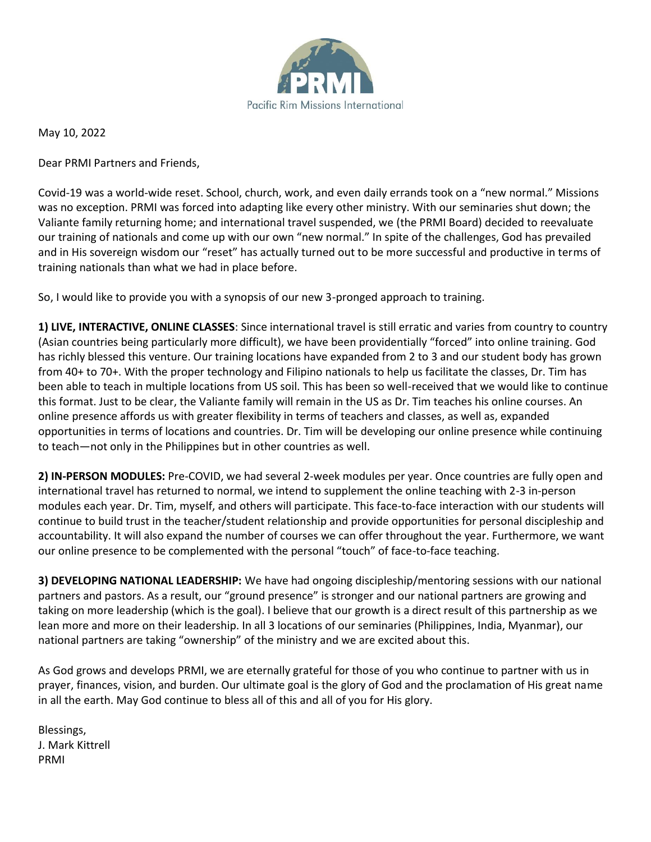

May 10, 2022

Dear PRMI Partners and Friends,

Covid-19 was a world-wide reset. School, church, work, and even daily errands took on a "new normal." Missions was no exception. PRMI was forced into adapting like every other ministry. With our seminaries shut down; the Valiante family returning home; and international travel suspended, we (the PRMI Board) decided to reevaluate our training of nationals and come up with our own "new normal." In spite of the challenges, God has prevailed and in His sovereign wisdom our "reset" has actually turned out to be more successful and productive in terms of training nationals than what we had in place before.

So, I would like to provide you with a synopsis of our new 3-pronged approach to training.

**1) LIVE, INTERACTIVE, ONLINE CLASSES**: Since international travel is still erratic and varies from country to country (Asian countries being particularly more difficult), we have been providentially "forced" into online training. God has richly blessed this venture. Our training locations have expanded from 2 to 3 and our student body has grown from 40+ to 70+. With the proper technology and Filipino nationals to help us facilitate the classes, Dr. Tim has been able to teach in multiple locations from US soil. This has been so well-received that we would like to continue this format. Just to be clear, the Valiante family will remain in the US as Dr. Tim teaches his online courses. An online presence affords us with greater flexibility in terms of teachers and classes, as well as, expanded opportunities in terms of locations and countries. Dr. Tim will be developing our online presence while continuing to teach—not only in the Philippines but in other countries as well.

**2) IN-PERSON MODULES:** Pre-COVID, we had several 2-week modules per year. Once countries are fully open and international travel has returned to normal, we intend to supplement the online teaching with 2-3 in-person modules each year. Dr. Tim, myself, and others will participate. This face-to-face interaction with our students will continue to build trust in the teacher/student relationship and provide opportunities for personal discipleship and accountability. It will also expand the number of courses we can offer throughout the year. Furthermore, we want our online presence to be complemented with the personal "touch" of face-to-face teaching.

**3) DEVELOPING NATIONAL LEADERSHIP:** We have had ongoing discipleship/mentoring sessions with our national partners and pastors. As a result, our "ground presence" is stronger and our national partners are growing and taking on more leadership (which is the goal). I believe that our growth is a direct result of this partnership as we lean more and more on their leadership. In all 3 locations of our seminaries (Philippines, India, Myanmar), our national partners are taking "ownership" of the ministry and we are excited about this.

As God grows and develops PRMI, we are eternally grateful for those of you who continue to partner with us in prayer, finances, vision, and burden. Our ultimate goal is the glory of God and the proclamation of His great name in all the earth. May God continue to bless all of this and all of you for His glory.

Blessings, J. Mark Kittrell PRMI